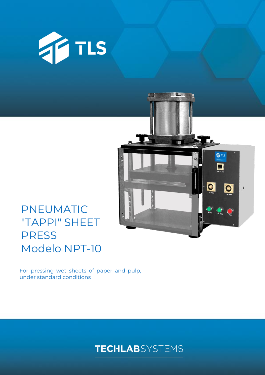



## PNEUMATIC "TAPPI" SHEET PRESS Modelo NPT-10

For pressing wet sheets of paper and pulp, under standard conditions

**TECHLAB**SYSTEMS